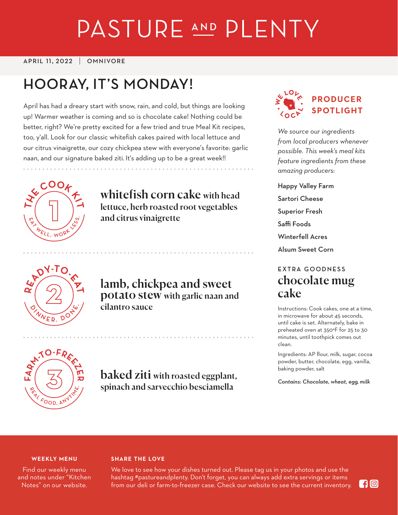# PASTURE AND PLENTY

#### APRIL 11, 2022 OMNIVORE

# **HOORAY, IT'S MONDAY!**

April has had a dreary start with snow, rain, and cold, but things are looking up! Warmer weather is coming and so is chocolate cake! Nothing could be better, right? We're pretty excited for a few tried and true Meal Kit recipes, too, y'all. Look for our classic whitefish cakes paired with local lettuce and our citrus vinaigrette, our cozy chickpea stew with everyone's favorite: garlic naan, and our signature baked ziti. It's adding up to be a great week!!



whitefish corn cake with head lettuce, herb roasted root vegetables and citrus vinaigrette



lamb, chickpea and sweet potato stew with garlic naan and cilantro sauce



*We source our ingredients from local producers whenever possible. This week's meal kits feature ingredients from these amazing producers:*

Happy Valley Farm Sartori Cheese Superior Fresh Saffi Foods Winterfell Acres Alsum Sweet Corn

# **EXTRA GOODNESS** chocolate mug cake

Instructions: Cook cakes, one at a time, in microwave for about 45 seconds, until cake is set. Alternately, bake in preheated oven at 350°F for 25 to 30 minutes, until toothpick comes out clean.

Ingredients: AP flour, milk, sugar, cocoa powder, butter, chocolate, egg, vanilla, baking powder, salt

*Contains: Chocolate, wheat, egg, milk*



baked ziti with roasted eggplant, spinach and sarvecchio besciamella

#### **WEEKLY MENU**

Find our weekly menu and notes under "Kitchen Notes" on our website.

#### **SHARE THE LOVE**

We love to see how your dishes turned out. Please tag us in your photos and use the hashtag #pastureandplenty. Don't forget, you can always add extra servings or items from our deli or farm-to-freezer case. Check our website to see the current inventory.

**FI** ©